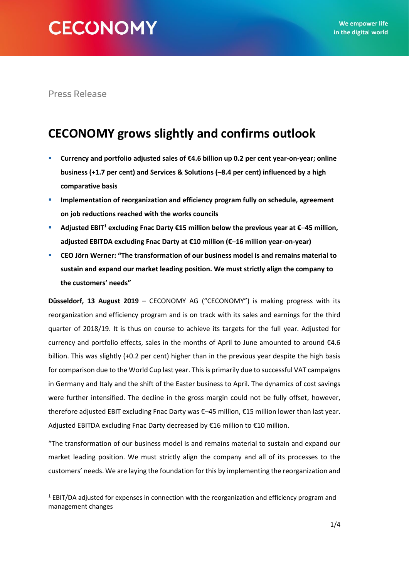**Press Release** 

# **CECONOMY grows slightly and confirms outlook**

- **Currency and portfolio adjusted sales of €4.6 billion up 0.2 per cent year-on-year; online business (+1.7 per cent) and Services & Solutions (**–**8.4 per cent) influenced by a high comparative basis**
- **Implementation of reorganization and efficiency program fully on schedule, agreement on job reductions reached with the works councils**
- **Adjusted EBIT<sup>1</sup> excluding Fnac Darty €15 million below the previous year at €**–**45 million, adjusted EBITDA excluding Fnac Darty at €10 million (€**–**16 million year-on-year)**
- **CEO Jörn Werner: "The transformation of our business model is and remains material to sustain and expand our market leading position. We must strictly align the company to the customers' needs"**

**Düsseldorf, 13 August 2019** – CECONOMY AG ("CECONOMY") is making progress with its reorganization and efficiency program and is on track with its sales and earnings for the third quarter of 2018/19. It is thus on course to achieve its targets for the full year. Adjusted for currency and portfolio effects, sales in the months of April to June amounted to around €4.6 billion. This was slightly (+0.2 per cent) higher than in the previous year despite the high basis for comparison due to the World Cup last year. This is primarily due to successful VAT campaigns in Germany and Italy and the shift of the Easter business to April. The dynamics of cost savings were further intensified. The decline in the gross margin could not be fully offset, however, therefore adjusted EBIT excluding Fnac Darty was €–45 million, €15 million lower than last year. Adjusted EBITDA excluding Fnac Darty decreased by €16 million to €10 million.

"The transformation of our business model is and remains material to sustain and expand our market leading position. We must strictly align the company and all of its processes to the customers' needs. We are laying the foundation for this by implementing the reorganization and

 $1$  EBIT/DA adjusted for expenses in connection with the reorganization and efficiency program and management changes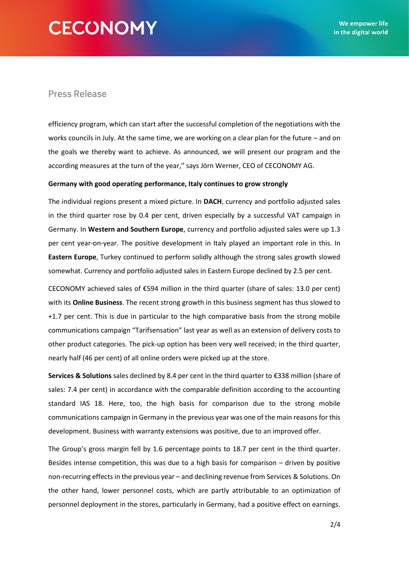# **CECONOMY**

## **Press Release**

efficiency program, which can start after the successful completion of the negotiations with the works councils in July. At the same time, we are working on a clear plan for the future – and on the goals we thereby want to achieve. As announced, we will present our program and the according measures at the turn of the year," says Jörn Werner, CEO of CECONOMY AG.

#### **Germany with good operating performance, Italy continues to grow strongly**

The individual regions present a mixed picture. In **DACH**, currency and portfolio adjusted sales in the third quarter rose by 0.4 per cent, driven especially by a successful VAT campaign in Germany. In **Western and Southern Europe**, currency and portfolio adjusted sales were up 1.3 per cent year-on-year. The positive development in Italy played an important role in this. In **Eastern Europe**, Turkey continued to perform solidly although the strong sales growth slowed somewhat. Currency and portfolio adjusted sales in Eastern Europe declined by 2.5 per cent.

CECONOMY achieved sales of €594 million in the third quarter (share of sales: 13.0 per cent) with its **Online Business**. The recent strong growth in this business segment has thus slowed to +1.7 per cent. This is due in particular to the high comparative basis from the strong mobile communications campaign "Tarifsensation" last year as well as an extension of delivery costs to other product categories. The pick-up option has been very well received; in the third quarter, nearly half (46 per cent) of all online orders were picked up at the store.

**Services & Solutions** sales declined by 8.4 per cent in the third quarter to €338 million (share of sales: 7.4 per cent) in accordance with the comparable definition according to the accounting standard IAS 18. Here, too, the high basis for comparison due to the strong mobile communications campaign in Germany in the previous year was one of the main reasons for this development. Business with warranty extensions was positive, due to an improved offer.

The Group's gross margin fell by 1.6 percentage points to 18.7 per cent in the third quarter. Besides intense competition, this was due to a high basis for comparison – driven by positive non-recurring effects in the previous year – and declining revenue from Services & Solutions. On the other hand, lower personnel costs, which are partly attributable to an optimization of personnel deployment in the stores, particularly in Germany, had a positive effect on earnings.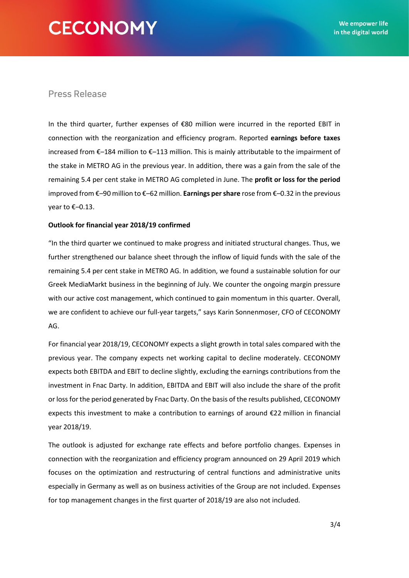# **CECONOMY**

## **Press Release**

In the third quarter, further expenses of €80 million were incurred in the reported EBIT in connection with the reorganization and efficiency program. Reported **earnings before taxes** increased from €–184 million to €–113 million. This is mainly attributable to the impairment of the stake in METRO AG in the previous year. In addition, there was a gain from the sale of the remaining 5.4 per cent stake in METRO AG completed in June. The **profit or loss for the period** improved from €–90 million to €–62 million. **Earnings per share** rose from €–0.32 in the previous year to €–0.13.

### **Outlook for financial year 2018/19 confirmed**

"In the third quarter we continued to make progress and initiated structural changes. Thus, we further strengthened our balance sheet through the inflow of liquid funds with the sale of the remaining 5.4 per cent stake in METRO AG. In addition, we found a sustainable solution for our Greek MediaMarkt business in the beginning of July. We counter the ongoing margin pressure with our active cost management, which continued to gain momentum in this quarter. Overall, we are confident to achieve our full-year targets," says Karin Sonnenmoser, CFO of CECONOMY AG.

For financial year 2018/19, CECONOMY expects a slight growth in total sales compared with the previous year. The company expects net working capital to decline moderately. CECONOMY expects both EBITDA and EBIT to decline slightly, excluding the earnings contributions from the investment in Fnac Darty. In addition, EBITDA and EBIT will also include the share of the profit or loss for the period generated by Fnac Darty. On the basis of the results published, CECONOMY expects this investment to make a contribution to earnings of around €22 million in financial year 2018/19.

The outlook is adjusted for exchange rate effects and before portfolio changes. Expenses in connection with the reorganization and efficiency program announced on 29 April 2019 which focuses on the optimization and restructuring of central functions and administrative units especially in Germany as well as on business activities of the Group are not included. Expenses for top management changes in the first quarter of 2018/19 are also not included.